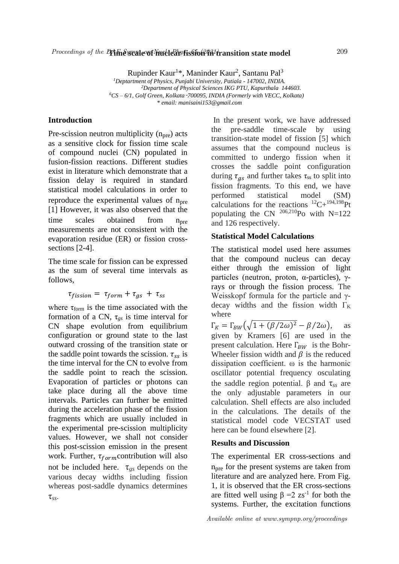# Proceedings of the DAF System Constructed and the DAF System of the DAF System of Nuclear 1000 and 1000 and the S

Rupinder Kaur<sup>1</sup>\*, Maninder Kaur<sup>2</sup>, Santanu Pal<sup>3</sup> *<sup>1</sup>Deptartment of Physics, Punjabi University, Patiala - 147002, INDIA. <sup>2</sup>Department of Physical Sciences IKG PTU, Kapurthala 144603.*

*<sup>6</sup>CS* – *6/1, Golf Green, Kolkata*–*700095, INDIA (Formerly with VECC, Kolkata)*

*\* email: manisaini153@gmail.com*

## **Introduction**

Pre-scission neutron multiplicity  $(n_{pre})$  acts as a sensitive clock for fission time scale of compound nuclei (CN) populated in fusion-fission reactions. Different studies exist in literature which demonstrate that a fission delay is required in standard statistical model calculations in order to reproduce the experimental values of  $n_{pre}$ [1] However, it was also observed that the time scales obtained from n<sub>pre</sub> measurements are not consistent with the evaporation residue (ER) or fission crosssections [2-4].

The time scale for fission can be expressed as the sum of several time intervals as follows,

$$
\tau_{fission} = \tau_{form} + \tau_{gs} + \tau_{ss}
$$

where  $\tau_{\text{form}}$  is the time associated with the formation of a CN, τ*gs* is time interval for CN shape evolution from equilibrium configuration or ground state to the last outward crossing of the transition state or the saddle point towards the scission.  $\tau_{ss}$  is the time interval for the CN to evolve from the saddle point to reach the scission. Evaporation of particles or photons can take place during all the above time intervals. Particles can further be emitted during the acceleration phase of the fission fragments which are usually included in the experimental pre-scission multiplicity values. However, we shall not consider this post-scission emission in the present work. Further,  $\tau_{form}$  contribution will also not be included here. τ*gs* depends on the various decay widths including fission whereas post-saddle dynamics determines τ*ss*.

In the present work, we have addressed the pre-saddle time-scale by using transition-state model of fission [5] which assumes that the compound nucleus is committed to undergo fission when it crosses the saddle point configuration during  $\tau_{as}$  and further takes  $\tau_{ss}$  to split into fission fragments. To this end, we have performed statistical model (SM) calculations for the reactions  ${}^{12}C+{}^{194,198}Pt$ populating the CN  $^{206,210}$ Po with N=122 and 126 respectively.

### **Statistical Model Calculations**

The statistical model used here assumes that the compound nucleus can decay either through the emission of light particles (neutron, proton, α-particles), γrays or through the fission process. The Weisskopf formula for the particle and γdecay widths and the fission width  $\Gamma_K$ where

 $\Gamma_K = \Gamma_{BW} (\sqrt{1 + (\beta/2\omega)^2 - \beta/2\omega}), \quad \text{as}$ given by Kramers [6] are used in the present calculation. Here  $\Gamma_{BW}$  is the Bohr-Wheeler fission width and  $\beta$  is the reduced dissipation coefficient. ω is the harmonic oscillator potential frequency osculating the saddle region potential. β and τ*ss* are the only adjustable parameters in our calculation. Shell effects are also included in the calculations. The details of the statistical model code VECSTAT used here can be found elsewhere [2].

### **Results and Discussion**

The experimental ER cross-sections and  $n<sub>pre</sub>$  for the present systems are taken from literature and are analyzed here. From Fig. 1, it is observed that the ER cross-sections are fitted well using  $β = 2$  zs<sup>-1</sup> for both the systems. Further, the excitation functions